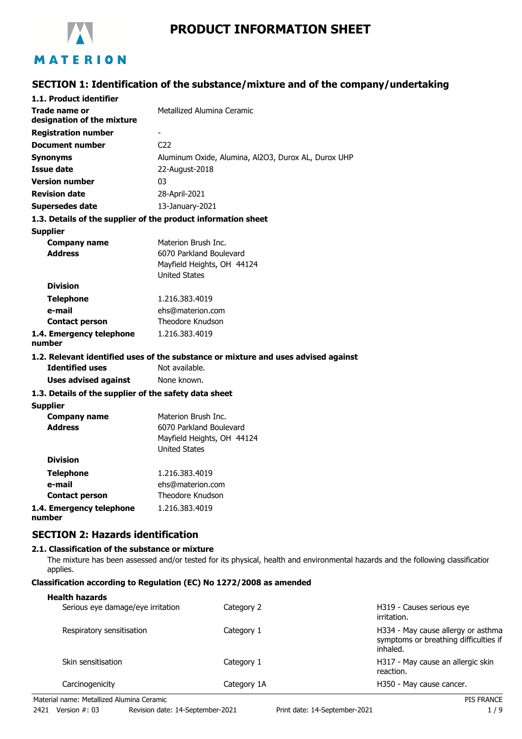

# **PRODUCT INFORMATION SHEET**

# **SECTION 1: Identification of the substance/mixture and of the company/undertaking**

| 1.1. Product identifier                               |                                                                                    |  |
|-------------------------------------------------------|------------------------------------------------------------------------------------|--|
| Trade name or<br>designation of the mixture           | Metallized Alumina Ceramic                                                         |  |
| <b>Registration number</b>                            |                                                                                    |  |
| <b>Document number</b>                                | C <sub>22</sub>                                                                    |  |
| <b>Synonyms</b>                                       | Aluminum Oxide, Alumina, Al2O3, Durox AL, Durox UHP                                |  |
| <b>Issue date</b>                                     | 22-August-2018                                                                     |  |
| <b>Version number</b>                                 | 03                                                                                 |  |
| <b>Revision date</b>                                  | 28-April-2021                                                                      |  |
| <b>Supersedes date</b>                                | 13-January-2021                                                                    |  |
|                                                       | 1.3. Details of the supplier of the product information sheet                      |  |
| <b>Supplier</b>                                       |                                                                                    |  |
| <b>Company name</b>                                   | Materion Brush Inc.                                                                |  |
| <b>Address</b>                                        | 6070 Parkland Boulevard                                                            |  |
|                                                       | Mayfield Heights, OH 44124                                                         |  |
|                                                       | <b>United States</b>                                                               |  |
| <b>Division</b>                                       |                                                                                    |  |
| <b>Telephone</b>                                      | 1.216.383.4019                                                                     |  |
| e-mail                                                | ehs@materion.com                                                                   |  |
| <b>Contact person</b>                                 | Theodore Knudson                                                                   |  |
| 1.4. Emergency telephone<br>number                    | 1.216.383.4019                                                                     |  |
|                                                       | 1.2. Relevant identified uses of the substance or mixture and uses advised against |  |
| <b>Identified uses</b>                                | Not available.                                                                     |  |
| <b>Uses advised against</b>                           | None known.                                                                        |  |
| 1.3. Details of the supplier of the safety data sheet |                                                                                    |  |
| <b>Supplier</b>                                       |                                                                                    |  |
| <b>Company name</b>                                   | Materion Brush Inc.                                                                |  |
| <b>Address</b>                                        | 6070 Parkland Boulevard                                                            |  |
|                                                       | Mayfield Heights, OH 44124                                                         |  |
| <b>Division</b>                                       | <b>United States</b>                                                               |  |
|                                                       |                                                                                    |  |
| <b>Telephone</b>                                      | 1.216.383.4019                                                                     |  |
| e-mail                                                | ehs@materion.com                                                                   |  |
| <b>Contact person</b>                                 | Theodore Knudson                                                                   |  |
| 1.4. Emergency telephone                              | 1.216.383.4019                                                                     |  |

**1.4. Emergency telephone number**

# **SECTION 2: Hazards identification**

### **2.1. Classification of the substance or mixture**

The mixture has been assessed and/or tested for its physical, health and environmental hazards and the following classification applies.

### **Classification according to Regulation (EC) No 1272/2008 as amended**

#### **Health hazards**

| Serious eye damage/eye irritation | Category 2  | H319 - Causes serious eye<br>irritation.                                                |
|-----------------------------------|-------------|-----------------------------------------------------------------------------------------|
| Respiratory sensitisation         | Category 1  | H334 - May cause allergy or asthma<br>symptoms or breathing difficulties if<br>inhaled. |
| Skin sensitisation                | Category 1  | H317 - May cause an allergic skin<br>reaction.                                          |
| Carcinogenicity                   | Category 1A | H350 - May cause cancer.                                                                |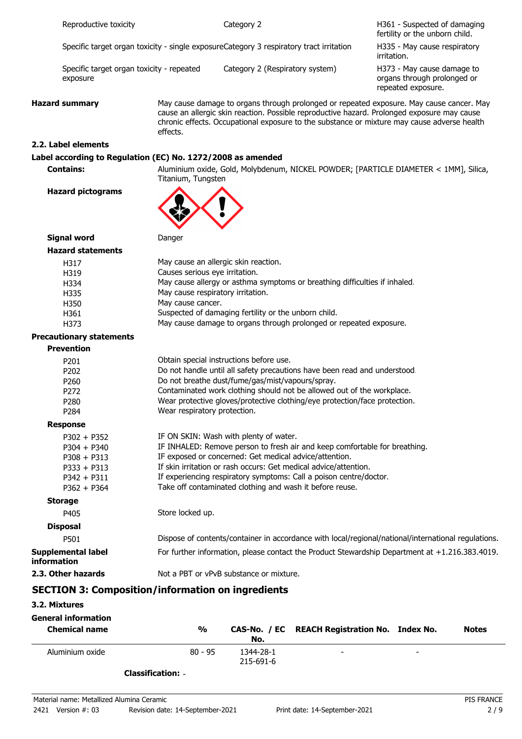|             | Reproductive toxicity                                                                              |                                                                                          | Category 2                                                                                                                                                                                                                                                                                                                                                                           | H361 - Suspected of damaging<br>fertility or the unborn child.                  |
|-------------|----------------------------------------------------------------------------------------------------|------------------------------------------------------------------------------------------|--------------------------------------------------------------------------------------------------------------------------------------------------------------------------------------------------------------------------------------------------------------------------------------------------------------------------------------------------------------------------------------|---------------------------------------------------------------------------------|
|             | Specific target organ toxicity - single exposureCategory 3 respiratory tract irritation            |                                                                                          |                                                                                                                                                                                                                                                                                                                                                                                      | H335 - May cause respiratory<br>irritation.                                     |
|             | Specific target organ toxicity - repeated<br>exposure                                              |                                                                                          | Category 2 (Respiratory system)                                                                                                                                                                                                                                                                                                                                                      | H373 - May cause damage to<br>organs through prolonged or<br>repeated exposure. |
|             | <b>Hazard summary</b>                                                                              | effects.                                                                                 | May cause damage to organs through prolonged or repeated exposure. May cause cancer. May<br>cause an allergic skin reaction. Possible reproductive hazard. Prolonged exposure may cause<br>chronic effects. Occupational exposure to the substance or mixture may cause adverse health                                                                                               |                                                                                 |
|             | 2.2. Label elements                                                                                |                                                                                          |                                                                                                                                                                                                                                                                                                                                                                                      |                                                                                 |
|             | Label according to Regulation (EC) No. 1272/2008 as amended                                        |                                                                                          |                                                                                                                                                                                                                                                                                                                                                                                      |                                                                                 |
|             | <b>Contains:</b>                                                                                   | Titanium, Tungsten                                                                       | Aluminium oxide, Gold, Molybdenum, NICKEL POWDER; [PARTICLE DIAMETER < 1MM], Silica,                                                                                                                                                                                                                                                                                                 |                                                                                 |
|             | <b>Hazard pictograms</b>                                                                           |                                                                                          |                                                                                                                                                                                                                                                                                                                                                                                      |                                                                                 |
|             | <b>Signal word</b>                                                                                 | Danger                                                                                   |                                                                                                                                                                                                                                                                                                                                                                                      |                                                                                 |
|             | <b>Hazard statements</b>                                                                           |                                                                                          |                                                                                                                                                                                                                                                                                                                                                                                      |                                                                                 |
|             | H317<br>H319<br>H334<br>H335<br>H350<br>H361<br>H373<br><b>Precautionary statements</b>            | Causes serious eye irritation.<br>May cause respiratory irritation.<br>May cause cancer. | May cause an allergic skin reaction.<br>May cause allergy or asthma symptoms or breathing difficulties if inhaled.<br>Suspected of damaging fertility or the unborn child.<br>May cause damage to organs through prolonged or repeated exposure.                                                                                                                                     |                                                                                 |
|             | <b>Prevention</b>                                                                                  |                                                                                          |                                                                                                                                                                                                                                                                                                                                                                                      |                                                                                 |
|             | P201<br>P202<br>P260<br>P272<br>P280<br>P284                                                       | Wear respiratory protection.                                                             | Obtain special instructions before use.<br>Do not handle until all safety precautions have been read and understood.<br>Do not breathe dust/fume/gas/mist/vapours/spray.<br>Contaminated work clothing should not be allowed out of the workplace.<br>Wear protective gloves/protective clothing/eye protection/face protection.                                                     |                                                                                 |
|             | <b>Response</b>                                                                                    |                                                                                          |                                                                                                                                                                                                                                                                                                                                                                                      |                                                                                 |
|             | $P302 + P352$<br>$P304 + P340$<br>$P308 + P313$<br>$P333 + P313$<br>$P342 + P311$<br>$P362 + P364$ |                                                                                          | IF ON SKIN: Wash with plenty of water.<br>IF INHALED: Remove person to fresh air and keep comfortable for breathing.<br>IF exposed or concerned: Get medical advice/attention.<br>If skin irritation or rash occurs: Get medical advice/attention.<br>If experiencing respiratory symptoms: Call a poison centre/doctor.<br>Take off contaminated clothing and wash it before reuse. |                                                                                 |
|             | <b>Storage</b>                                                                                     |                                                                                          |                                                                                                                                                                                                                                                                                                                                                                                      |                                                                                 |
|             | P405                                                                                               | Store locked up.                                                                         |                                                                                                                                                                                                                                                                                                                                                                                      |                                                                                 |
|             | <b>Disposal</b>                                                                                    |                                                                                          |                                                                                                                                                                                                                                                                                                                                                                                      |                                                                                 |
|             | P501                                                                                               |                                                                                          | Dispose of contents/container in accordance with local/regional/national/international regulations.                                                                                                                                                                                                                                                                                  |                                                                                 |
| information | <b>Supplemental label</b>                                                                          |                                                                                          | For further information, please contact the Product Stewardship Department at +1.216.383.4019.                                                                                                                                                                                                                                                                                       |                                                                                 |
|             | 2.3. Other hazards                                                                                 |                                                                                          | Not a PBT or vPvB substance or mixture.                                                                                                                                                                                                                                                                                                                                              |                                                                                 |
|             | <b>SECTION 3: Composition/information on ingredients</b>                                           |                                                                                          |                                                                                                                                                                                                                                                                                                                                                                                      |                                                                                 |

# **3.2. Mixtures**

| <b>General information</b><br><b>Chemical name</b> | %         | No.                    | CAS-No. / EC REACH Registration No. Index No. |   | <b>Notes</b> |
|----------------------------------------------------|-----------|------------------------|-----------------------------------------------|---|--------------|
| Aluminium oxide                                    | $80 - 95$ | 1344-28-1<br>215-691-6 | $\overline{\phantom{0}}$                      | - |              |

**Classification:** -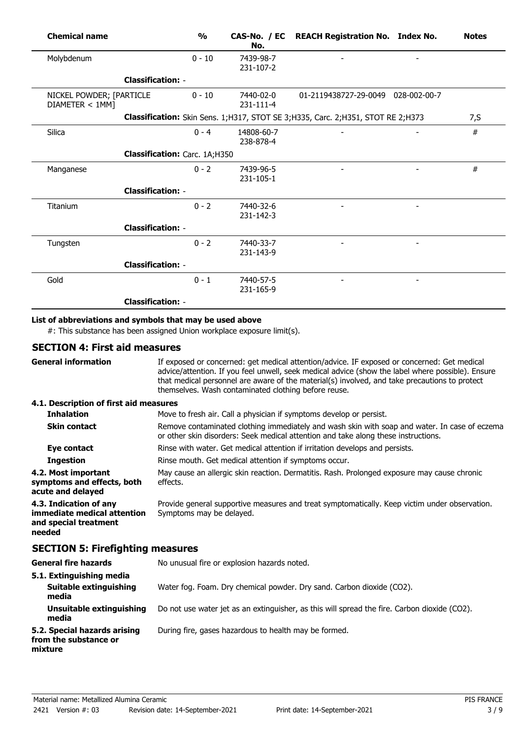| <b>Chemical name</b>                        |                               | $\frac{1}{2}$ | No.                     | CAS-No. / EC REACH Registration No. Index No.                                       | <b>Notes</b> |
|---------------------------------------------|-------------------------------|---------------|-------------------------|-------------------------------------------------------------------------------------|--------------|
| Molybdenum                                  |                               | $0 - 10$      | 7439-98-7<br>231-107-2  |                                                                                     |              |
|                                             | <b>Classification: -</b>      |               |                         |                                                                                     |              |
| NICKEL POWDER; [PARTICLE<br>DIAMETER < 1MM] |                               | $0 - 10$      | 7440-02-0<br>231-111-4  | 01-2119438727-29-0049 028-002-00-7                                                  |              |
|                                             |                               |               |                         | Classification: Skin Sens. 1; H317, STOT SE 3; H335, Carc. 2; H351, STOT RE 2; H373 | 7, S         |
| Silica                                      |                               | $0 - 4$       | 14808-60-7<br>238-878-4 |                                                                                     | #            |
|                                             | Classification: Carc. 1A;H350 |               |                         |                                                                                     |              |
| Manganese                                   |                               | $0 - 2$       | 7439-96-5<br>231-105-1  |                                                                                     | #            |
|                                             | <b>Classification: -</b>      |               |                         |                                                                                     |              |
| Titanium                                    |                               | $0 - 2$       | 7440-32-6<br>231-142-3  |                                                                                     |              |
|                                             | <b>Classification: -</b>      |               |                         |                                                                                     |              |
| Tungsten                                    |                               | $0 - 2$       | 7440-33-7<br>231-143-9  |                                                                                     |              |
|                                             | <b>Classification: -</b>      |               |                         |                                                                                     |              |
| Gold                                        |                               | $0 - 1$       | 7440-57-5<br>231-165-9  |                                                                                     |              |
|                                             | <b>Classification: -</b>      |               |                         |                                                                                     |              |

# **List of abbreviations and symbols that may be used above**

#: This substance has been assigned Union workplace exposure limit(s).

# **SECTION 4: First aid measures**

| <b>General information</b>                                                               | If exposed or concerned: get medical attention/advice. IF exposed or concerned: Get medical<br>advice/attention. If you feel unwell, seek medical advice (show the label where possible). Ensure<br>that medical personnel are aware of the material(s) involved, and take precautions to protect<br>themselves. Wash contaminated clothing before reuse. |
|------------------------------------------------------------------------------------------|-----------------------------------------------------------------------------------------------------------------------------------------------------------------------------------------------------------------------------------------------------------------------------------------------------------------------------------------------------------|
| 4.1. Description of first aid measures                                                   |                                                                                                                                                                                                                                                                                                                                                           |
| <b>Inhalation</b>                                                                        | Move to fresh air. Call a physician if symptoms develop or persist.                                                                                                                                                                                                                                                                                       |
| <b>Skin contact</b>                                                                      | Remove contaminated clothing immediately and wash skin with soap and water. In case of eczema<br>or other skin disorders: Seek medical attention and take along these instructions.                                                                                                                                                                       |
| Eye contact                                                                              | Rinse with water. Get medical attention if irritation develops and persists.                                                                                                                                                                                                                                                                              |
| <b>Ingestion</b>                                                                         | Rinse mouth. Get medical attention if symptoms occur.                                                                                                                                                                                                                                                                                                     |
| 4.2. Most important<br>symptoms and effects, both<br>acute and delayed                   | May cause an allergic skin reaction. Dermatitis. Rash. Prolonged exposure may cause chronic<br>effects.                                                                                                                                                                                                                                                   |
| 4.3. Indication of any<br>immediate medical attention<br>and special treatment<br>needed | Provide general supportive measures and treat symptomatically. Keep victim under observation.<br>Symptoms may be delayed.                                                                                                                                                                                                                                 |
| <b>SECTION 5: Firefighting measures</b>                                                  |                                                                                                                                                                                                                                                                                                                                                           |
| <b>General fire hazards</b>                                                              | No unusual fire or explosion hazards noted.                                                                                                                                                                                                                                                                                                               |
| 5.1. Extinguishing media<br>Suitable extinguishing<br>media                              | Water fog. Foam. Dry chemical powder. Dry sand. Carbon dioxide (CO2).                                                                                                                                                                                                                                                                                     |
| <b>Unsuitable extinguishing</b><br>media                                                 | Do not use water jet as an extinguisher, as this will spread the fire. Carbon dioxide (CO2).                                                                                                                                                                                                                                                              |
| 5.2. Special hazards arising<br>from the substance or<br>mixture                         | During fire, gases hazardous to health may be formed.                                                                                                                                                                                                                                                                                                     |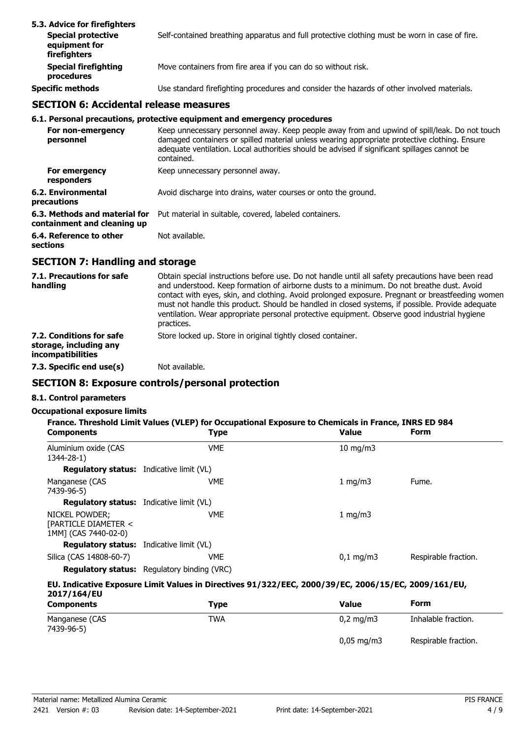| 5.3. Advice for firefighters<br><b>Special protective</b><br>equipment for<br>firefighters | Self-contained breathing apparatus and full protective clothing must be worn in case of fire. |
|--------------------------------------------------------------------------------------------|-----------------------------------------------------------------------------------------------|
| <b>Special firefighting</b><br>procedures                                                  | Move containers from fire area if you can do so without risk.                                 |
| <b>Specific methods</b>                                                                    | Use standard firefighting procedures and consider the hazards of other involved materials.    |

# **SECTION 6: Accidental release measures**

### **6.1. Personal precautions, protective equipment and emergency procedures**

| For non-emergency<br>personnel                               | Keep unnecessary personnel away. Keep people away from and upwind of spill/leak. Do not touch<br>damaged containers or spilled material unless wearing appropriate protective clothing. Ensure<br>adequate ventilation. Local authorities should be advised if significant spillages cannot be<br>contained. |
|--------------------------------------------------------------|--------------------------------------------------------------------------------------------------------------------------------------------------------------------------------------------------------------------------------------------------------------------------------------------------------------|
| For emergency<br>responders                                  | Keep unnecessary personnel away.                                                                                                                                                                                                                                                                             |
| 6.2. Environmental<br>precautions                            | Avoid discharge into drains, water courses or onto the ground.                                                                                                                                                                                                                                               |
| 6.3. Methods and material for<br>containment and cleaning up | Put material in suitable, covered, labeled containers.                                                                                                                                                                                                                                                       |
| 6.4. Reference to other<br>sections                          | Not available.                                                                                                                                                                                                                                                                                               |

# **SECTION 7: Handling and storage**

| 7.1. Precautions for safe<br>handling                                          | Obtain special instructions before use. Do not handle until all safety precautions have been read<br>and understood. Keep formation of airborne dusts to a minimum. Do not breathe dust. Avoid<br>contact with eyes, skin, and clothing. Avoid prolonged exposure. Pregnant or breastfeeding women<br>must not handle this product. Should be handled in closed systems, if possible. Provide adequate<br>ventilation. Wear appropriate personal protective equipment. Observe good industrial hygiene<br>practices. |
|--------------------------------------------------------------------------------|----------------------------------------------------------------------------------------------------------------------------------------------------------------------------------------------------------------------------------------------------------------------------------------------------------------------------------------------------------------------------------------------------------------------------------------------------------------------------------------------------------------------|
| 7.2. Conditions for safe<br>storage, including any<br><i>incompatibilities</i> | Store locked up. Store in original tightly closed container.                                                                                                                                                                                                                                                                                                                                                                                                                                                         |
| 7.3. Specific end use(s)                                                       | Not available.                                                                                                                                                                                                                                                                                                                                                                                                                                                                                                       |

# **SECTION 8: Exposure controls/personal protection**

# **8.1. Control parameters**

### **Occupational exposure limits**

# **France. Threshold Limit Values (VLEP) for Occupational Exposure to Chemicals in France, INRS ED 984**

| <b>Components</b>                                              | <b>Type</b>                                                                                         | <b>Value</b>           | Form                 |
|----------------------------------------------------------------|-----------------------------------------------------------------------------------------------------|------------------------|----------------------|
| Aluminium oxide (CAS<br>1344-28-1)                             | <b>VME</b>                                                                                          | $10 \text{ mg/m}$      |                      |
| <b>Requiatory status:</b> Indicative limit (VL)                |                                                                                                     |                        |                      |
| Manganese (CAS<br>7439-96-5)                                   | VME                                                                                                 | 1 mg/m $3$             | Fume.                |
| <b>Requiatory status:</b> Indicative limit (VL)                |                                                                                                     |                        |                      |
| NICKEL POWDER;<br>[PARTICLE DIAMETER <<br>1MM] (CAS 7440-02-0) | VME                                                                                                 | 1 mg/m $3$             |                      |
| <b>Requiatory status:</b> Indicative limit (VL)                |                                                                                                     |                        |                      |
| Silica (CAS 14808-60-7)                                        | VME                                                                                                 | $0,1 \, \text{mq/m}$ 3 | Respirable fraction. |
|                                                                | <b>Requiatory status:</b> Requiatory binding (VRC)                                                  |                        |                      |
| 2017/164/EU                                                    | EU. Indicative Exposure Limit Values in Directives 91/322/EEC, 2000/39/EC, 2006/15/EC, 2009/161/EU, |                        |                      |
| Comnonante                                                     | <b>Tyno</b>                                                                                         | $V_2$ $\cdots$         | Form                 |

| <b>Components</b>            | Type | Value                  | <b>Form</b>          |  |
|------------------------------|------|------------------------|----------------------|--|
| Manganese (CAS<br>7439-96-5) | TWA  | $0.2 \text{ mg/m}$     | Inhalable fraction.  |  |
|                              |      | $0.05 \,\mathrm{mq/m}$ | Respirable fraction. |  |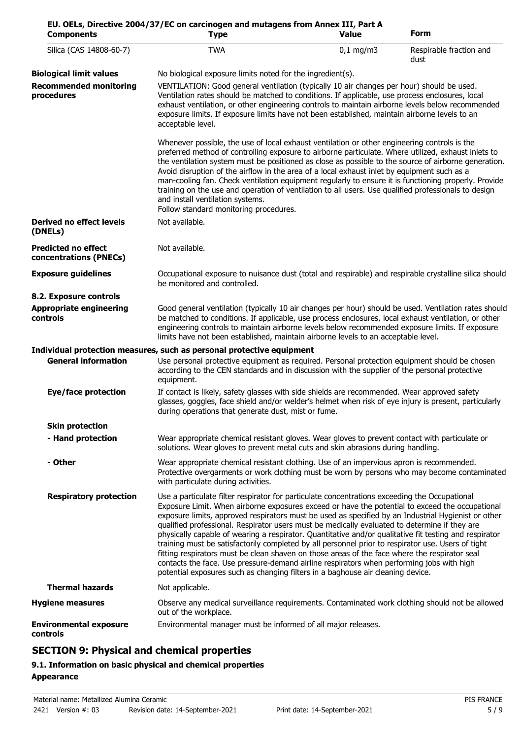| <b>Components</b>                                    | EU. OELs, Directive 2004/37/EC on carcinogen and mutagens from Annex III, Part A<br><b>Type</b>                                                                                                                                                                                                                                                                                                                                                                                                                                                                                                                                                                                                                                                                                                                                                                                                           | <b>Value</b> | Form                            |
|------------------------------------------------------|-----------------------------------------------------------------------------------------------------------------------------------------------------------------------------------------------------------------------------------------------------------------------------------------------------------------------------------------------------------------------------------------------------------------------------------------------------------------------------------------------------------------------------------------------------------------------------------------------------------------------------------------------------------------------------------------------------------------------------------------------------------------------------------------------------------------------------------------------------------------------------------------------------------|--------------|---------------------------------|
| Silica (CAS 14808-60-7)                              | <b>TWA</b>                                                                                                                                                                                                                                                                                                                                                                                                                                                                                                                                                                                                                                                                                                                                                                                                                                                                                                | $0,1$ mg/m3  | Respirable fraction and<br>dust |
| <b>Biological limit values</b>                       | No biological exposure limits noted for the ingredient(s).                                                                                                                                                                                                                                                                                                                                                                                                                                                                                                                                                                                                                                                                                                                                                                                                                                                |              |                                 |
| <b>Recommended monitoring</b><br>procedures          | VENTILATION: Good general ventilation (typically 10 air changes per hour) should be used.<br>Ventilation rates should be matched to conditions. If applicable, use process enclosures, local<br>exhaust ventilation, or other engineering controls to maintain airborne levels below recommended<br>exposure limits. If exposure limits have not been established, maintain airborne levels to an<br>acceptable level.                                                                                                                                                                                                                                                                                                                                                                                                                                                                                    |              |                                 |
|                                                      | Whenever possible, the use of local exhaust ventilation or other engineering controls is the<br>preferred method of controlling exposure to airborne particulate. Where utilized, exhaust inlets to<br>the ventilation system must be positioned as close as possible to the source of airborne generation.<br>Avoid disruption of the airflow in the area of a local exhaust inlet by equipment such as a<br>man-cooling fan. Check ventilation equipment regularly to ensure it is functioning properly. Provide<br>training on the use and operation of ventilation to all users. Use qualified professionals to design<br>and install ventilation systems.<br>Follow standard monitoring procedures.                                                                                                                                                                                                  |              |                                 |
| <b>Derived no effect levels</b><br>(DNELs)           | Not available.                                                                                                                                                                                                                                                                                                                                                                                                                                                                                                                                                                                                                                                                                                                                                                                                                                                                                            |              |                                 |
| <b>Predicted no effect</b><br>concentrations (PNECs) | Not available.                                                                                                                                                                                                                                                                                                                                                                                                                                                                                                                                                                                                                                                                                                                                                                                                                                                                                            |              |                                 |
| <b>Exposure guidelines</b>                           | Occupational exposure to nuisance dust (total and respirable) and respirable crystalline silica should<br>be monitored and controlled.                                                                                                                                                                                                                                                                                                                                                                                                                                                                                                                                                                                                                                                                                                                                                                    |              |                                 |
| 8.2. Exposure controls                               |                                                                                                                                                                                                                                                                                                                                                                                                                                                                                                                                                                                                                                                                                                                                                                                                                                                                                                           |              |                                 |
| <b>Appropriate engineering</b><br>controls           | Good general ventilation (typically 10 air changes per hour) should be used. Ventilation rates should<br>be matched to conditions. If applicable, use process enclosures, local exhaust ventilation, or other<br>engineering controls to maintain airborne levels below recommended exposure limits. If exposure<br>limits have not been established, maintain airborne levels to an acceptable level.                                                                                                                                                                                                                                                                                                                                                                                                                                                                                                    |              |                                 |
|                                                      | Individual protection measures, such as personal protective equipment                                                                                                                                                                                                                                                                                                                                                                                                                                                                                                                                                                                                                                                                                                                                                                                                                                     |              |                                 |
| <b>General information</b>                           | Use personal protective equipment as required. Personal protection equipment should be chosen<br>according to the CEN standards and in discussion with the supplier of the personal protective<br>equipment.                                                                                                                                                                                                                                                                                                                                                                                                                                                                                                                                                                                                                                                                                              |              |                                 |
| <b>Eye/face protection</b>                           | If contact is likely, safety glasses with side shields are recommended. Wear approved safety<br>glasses, goggles, face shield and/or welder's helmet when risk of eye injury is present, particularly<br>during operations that generate dust, mist or fume.                                                                                                                                                                                                                                                                                                                                                                                                                                                                                                                                                                                                                                              |              |                                 |
| <b>Skin protection</b>                               |                                                                                                                                                                                                                                                                                                                                                                                                                                                                                                                                                                                                                                                                                                                                                                                                                                                                                                           |              |                                 |
| - Hand protection                                    | Wear appropriate chemical resistant gloves. Wear gloves to prevent contact with particulate or<br>solutions. Wear gloves to prevent metal cuts and skin abrasions during handling.                                                                                                                                                                                                                                                                                                                                                                                                                                                                                                                                                                                                                                                                                                                        |              |                                 |
| - Other                                              | Wear appropriate chemical resistant clothing. Use of an impervious apron is recommended.<br>Protective overgarments or work clothing must be worn by persons who may become contaminated<br>with particulate during activities.                                                                                                                                                                                                                                                                                                                                                                                                                                                                                                                                                                                                                                                                           |              |                                 |
| <b>Respiratory protection</b>                        | Use a particulate filter respirator for particulate concentrations exceeding the Occupational<br>Exposure Limit. When airborne exposures exceed or have the potential to exceed the occupational<br>exposure limits, approved respirators must be used as specified by an Industrial Hygienist or other<br>qualified professional. Respirator users must be medically evaluated to determine if they are<br>physically capable of wearing a respirator. Quantitative and/or qualitative fit testing and respirator<br>training must be satisfactorily completed by all personnel prior to respirator use. Users of tight<br>fitting respirators must be clean shaven on those areas of the face where the respirator seal<br>contacts the face. Use pressure-demand airline respirators when performing jobs with high<br>potential exposures such as changing filters in a baghouse air cleaning device. |              |                                 |
| <b>Thermal hazards</b>                               | Not applicable.                                                                                                                                                                                                                                                                                                                                                                                                                                                                                                                                                                                                                                                                                                                                                                                                                                                                                           |              |                                 |
| <b>Hygiene measures</b>                              | Observe any medical surveillance requirements. Contaminated work clothing should not be allowed<br>out of the workplace.                                                                                                                                                                                                                                                                                                                                                                                                                                                                                                                                                                                                                                                                                                                                                                                  |              |                                 |
| <b>Environmental exposure</b><br>controls            | Environmental manager must be informed of all major releases.                                                                                                                                                                                                                                                                                                                                                                                                                                                                                                                                                                                                                                                                                                                                                                                                                                             |              |                                 |

# **SECTION 9: Physical and chemical properties**

# **9.1. Information on basic physical and chemical properties Appearance**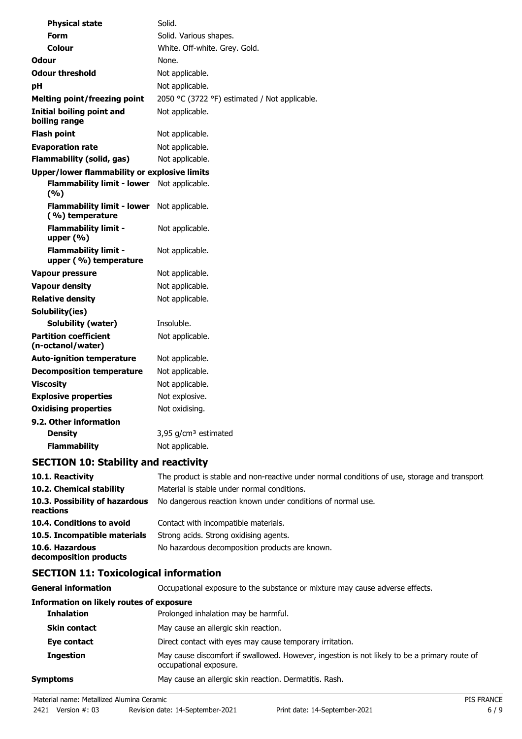| <b>Physical state</b>                                | Solid.                                        |
|------------------------------------------------------|-----------------------------------------------|
| Form                                                 | Solid. Various shapes.                        |
| Colour                                               | White. Off-white. Grey. Gold.                 |
| <b>Odour</b>                                         | None.                                         |
| <b>Odour threshold</b>                               | Not applicable.                               |
| рH                                                   | Not applicable.                               |
| <b>Melting point/freezing point</b>                  | 2050 °C (3722 °F) estimated / Not applicable. |
| <b>Initial boiling point and</b><br>boiling range    | Not applicable.                               |
| <b>Flash point</b>                                   | Not applicable.                               |
| <b>Evaporation rate</b>                              | Not applicable.                               |
| <b>Flammability (solid, gas)</b>                     | Not applicable.                               |
| <b>Upper/lower flammability or explosive limits</b>  |                                               |
| <b>Flammability limit - lower</b><br>(9/6)           | Not applicable.                               |
| <b>Flammability limit - lower</b><br>(%) temperature | Not applicable.                               |
| <b>Flammability limit -</b><br>upper $(\% )$         | Not applicable.                               |
| <b>Flammability limit -</b><br>upper (%) temperature | Not applicable.                               |
| <b>Vapour pressure</b>                               | Not applicable.                               |
| <b>Vapour density</b>                                | Not applicable.                               |
| <b>Relative density</b>                              | Not applicable.                               |
| Solubility(ies)                                      |                                               |
| Solubility (water)                                   | Insoluble.                                    |
| <b>Partition coefficient</b><br>(n-octanol/water)    | Not applicable.                               |
| <b>Auto-ignition temperature</b>                     | Not applicable.                               |
| <b>Decomposition temperature</b>                     | Not applicable.                               |
| <b>Viscosity</b>                                     | Not applicable.                               |
| <b>Explosive properties</b>                          | Not explosive.                                |
| <b>Oxidising properties</b>                          | Not oxidising.                                |
| 9.2. Other information                               |                                               |
| <b>Density</b>                                       | 3,95 g/cm <sup>3</sup> estimated              |
| <b>Flammability</b>                                  | Not applicable.                               |

# **SECTION 10: Stability and reactivity**

| 10.1. Reactivity                            | The product is stable and non-reactive under normal conditions of use, storage and transport |
|---------------------------------------------|----------------------------------------------------------------------------------------------|
| 10.2. Chemical stability                    | Material is stable under normal conditions.                                                  |
| 10.3. Possibility of hazardous<br>reactions | No dangerous reaction known under conditions of normal use.                                  |
| 10.4. Conditions to avoid                   | Contact with incompatible materials.                                                         |
| 10.5. Incompatible materials                | Strong acids. Strong oxidising agents.                                                       |
| 10.6. Hazardous<br>decomposition products   | No hazardous decomposition products are known.                                               |

# **SECTION 11: Toxicological information**

| <b>General information</b>                      | Occupational exposure to the substance or mixture may cause adverse effects.                                           |
|-------------------------------------------------|------------------------------------------------------------------------------------------------------------------------|
| <b>Information on likely routes of exposure</b> |                                                                                                                        |
| <b>Inhalation</b>                               | Prolonged inhalation may be harmful.                                                                                   |
| <b>Skin contact</b>                             | May cause an allergic skin reaction.                                                                                   |
| Eye contact                                     | Direct contact with eyes may cause temporary irritation.                                                               |
| <b>Ingestion</b>                                | May cause discomfort if swallowed. However, ingestion is not likely to be a primary route of<br>occupational exposure. |
| Symptoms                                        | May cause an allergic skin reaction. Dermatitis. Rash.                                                                 |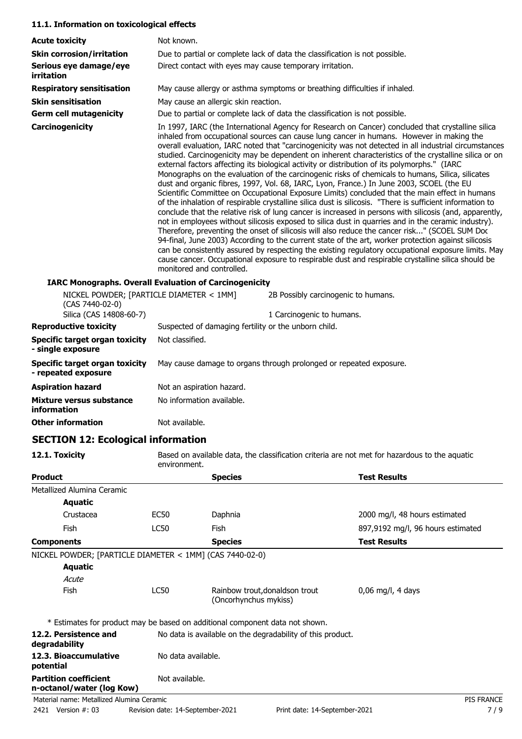### **11.1. Information on toxicological effects**

| <b>Acute toxicity</b>                                                                  | Not known.                                                                                                                                                                                                                                                                                                                                                                                                                                                                                                                                                                                                                                                                                                                                                                                                                                                                                                                                                                                                                                                                                                                                                                                                                                                                                                                                                                                                                                                                                                                                                                                         |
|----------------------------------------------------------------------------------------|----------------------------------------------------------------------------------------------------------------------------------------------------------------------------------------------------------------------------------------------------------------------------------------------------------------------------------------------------------------------------------------------------------------------------------------------------------------------------------------------------------------------------------------------------------------------------------------------------------------------------------------------------------------------------------------------------------------------------------------------------------------------------------------------------------------------------------------------------------------------------------------------------------------------------------------------------------------------------------------------------------------------------------------------------------------------------------------------------------------------------------------------------------------------------------------------------------------------------------------------------------------------------------------------------------------------------------------------------------------------------------------------------------------------------------------------------------------------------------------------------------------------------------------------------------------------------------------------------|
| <b>Skin corrosion/irritation</b>                                                       | Due to partial or complete lack of data the classification is not possible.                                                                                                                                                                                                                                                                                                                                                                                                                                                                                                                                                                                                                                                                                                                                                                                                                                                                                                                                                                                                                                                                                                                                                                                                                                                                                                                                                                                                                                                                                                                        |
| Serious eye damage/eye<br><i>irritation</i>                                            | Direct contact with eyes may cause temporary irritation.                                                                                                                                                                                                                                                                                                                                                                                                                                                                                                                                                                                                                                                                                                                                                                                                                                                                                                                                                                                                                                                                                                                                                                                                                                                                                                                                                                                                                                                                                                                                           |
| <b>Respiratory sensitisation</b>                                                       | May cause allergy or asthma symptoms or breathing difficulties if inhaled.                                                                                                                                                                                                                                                                                                                                                                                                                                                                                                                                                                                                                                                                                                                                                                                                                                                                                                                                                                                                                                                                                                                                                                                                                                                                                                                                                                                                                                                                                                                         |
| <b>Skin sensitisation</b>                                                              | May cause an allergic skin reaction.                                                                                                                                                                                                                                                                                                                                                                                                                                                                                                                                                                                                                                                                                                                                                                                                                                                                                                                                                                                                                                                                                                                                                                                                                                                                                                                                                                                                                                                                                                                                                               |
| <b>Germ cell mutagenicity</b>                                                          | Due to partial or complete lack of data the classification is not possible.                                                                                                                                                                                                                                                                                                                                                                                                                                                                                                                                                                                                                                                                                                                                                                                                                                                                                                                                                                                                                                                                                                                                                                                                                                                                                                                                                                                                                                                                                                                        |
| Carcinogenicity                                                                        | In 1997, IARC (the International Agency for Research on Cancer) concluded that crystalline silica<br>inhaled from occupational sources can cause lung cancer in humans. However in making the<br>overall evaluation, IARC noted that "carcinogenicity was not detected in all industrial circumstances<br>studied. Carcinogenicity may be dependent on inherent characteristics of the crystalline silica or on<br>external factors affecting its biological activity or distribution of its polymorphs." (IARC<br>Monographs on the evaluation of the carcinogenic risks of chemicals to humans, Silica, silicates<br>dust and organic fibres, 1997, Vol. 68, IARC, Lyon, France.) In June 2003, SCOEL (the EU<br>Scientific Committee on Occupational Exposure Limits) concluded that the main effect in humans<br>of the inhalation of respirable crystalline silica dust is silicosis. "There is sufficient information to<br>conclude that the relative risk of lung cancer is increased in persons with silicosis (and, apparently,<br>not in employees without silicosis exposed to silica dust in quarries and in the ceramic industry).<br>Therefore, preventing the onset of silicosis will also reduce the cancer risk" (SCOEL SUM Doc<br>94-final, June 2003) According to the current state of the art, worker protection against silicosis<br>can be consistently assured by respecting the existing regulatory occupational exposure limits. May<br>cause cancer. Occupational exposure to respirable dust and respirable crystalline silica should be<br>monitored and controlled. |
|                                                                                        | <b>IARC Monographs. Overall Evaluation of Carcinogenicity</b>                                                                                                                                                                                                                                                                                                                                                                                                                                                                                                                                                                                                                                                                                                                                                                                                                                                                                                                                                                                                                                                                                                                                                                                                                                                                                                                                                                                                                                                                                                                                      |
| NICKEL POWDER; [PARTICLE DIAMETER < 1MM]<br>(CAS 7440-02-0)<br>Silica (CAS 14808-60-7) | 2B Possibly carcinogenic to humans.<br>1 Carcinogenic to humans.                                                                                                                                                                                                                                                                                                                                                                                                                                                                                                                                                                                                                                                                                                                                                                                                                                                                                                                                                                                                                                                                                                                                                                                                                                                                                                                                                                                                                                                                                                                                   |
| <b>Reproductive toxicity</b>                                                           | Suspected of damaging fertility or the unborn child.                                                                                                                                                                                                                                                                                                                                                                                                                                                                                                                                                                                                                                                                                                                                                                                                                                                                                                                                                                                                                                                                                                                                                                                                                                                                                                                                                                                                                                                                                                                                               |
| Specific target organ toxicity<br>- single exposure                                    | Not classified.                                                                                                                                                                                                                                                                                                                                                                                                                                                                                                                                                                                                                                                                                                                                                                                                                                                                                                                                                                                                                                                                                                                                                                                                                                                                                                                                                                                                                                                                                                                                                                                    |
| Specific target organ toxicity<br>- repeated exposure                                  | May cause damage to organs through prolonged or repeated exposure.                                                                                                                                                                                                                                                                                                                                                                                                                                                                                                                                                                                                                                                                                                                                                                                                                                                                                                                                                                                                                                                                                                                                                                                                                                                                                                                                                                                                                                                                                                                                 |
|                                                                                        |                                                                                                                                                                                                                                                                                                                                                                                                                                                                                                                                                                                                                                                                                                                                                                                                                                                                                                                                                                                                                                                                                                                                                                                                                                                                                                                                                                                                                                                                                                                                                                                                    |

| <b>Aspiration hazard</b>                | Not an aspiration hazard. |
|-----------------------------------------|---------------------------|
| Mixture versus substance<br>information | No information available. |
| <b>Other information</b>                | Not available.            |

# **SECTION 12: Ecological information**

**12.1. Toxicity** Based on available data, the classification criteria are not met for hazardous to the aquatic environment.

| <b>Product</b>                                            |                    | <b>Species</b>                                                               | <b>Test Results</b>               |
|-----------------------------------------------------------|--------------------|------------------------------------------------------------------------------|-----------------------------------|
| Metallized Alumina Ceramic                                |                    |                                                                              |                                   |
| Aquatic                                                   |                    |                                                                              |                                   |
| Crustacea                                                 | EC50               | Daphnia                                                                      | 2000 mg/l, 48 hours estimated     |
| <b>Fish</b>                                               | <b>LC50</b>        | Fish                                                                         | 897,9192 mg/l, 96 hours estimated |
| <b>Components</b>                                         |                    | <b>Species</b>                                                               | <b>Test Results</b>               |
| NICKEL POWDER; [PARTICLE DIAMETER < 1MM] (CAS 7440-02-0)  |                    |                                                                              |                                   |
| <b>Aquatic</b>                                            |                    |                                                                              |                                   |
| Acute                                                     |                    |                                                                              |                                   |
| <b>Fish</b>                                               | <b>LC50</b>        | Rainbow trout, donaldson trout<br>(Oncorhynchus mykiss)                      | $0,06$ mg/l, 4 days               |
|                                                           |                    | * Estimates for product may be based on additional component data not shown. |                                   |
| 12.2. Persistence and<br>degradability                    |                    | No data is available on the degradability of this product.                   |                                   |
| 12.3. Bioaccumulative<br>potential                        | No data available. |                                                                              |                                   |
| <b>Partition coefficient</b><br>n-octanol/water (log Kow) | Not available.     |                                                                              |                                   |
| Material name: Metallized Alumina Ceramic                 |                    |                                                                              | <b>PIS FRANCE</b>                 |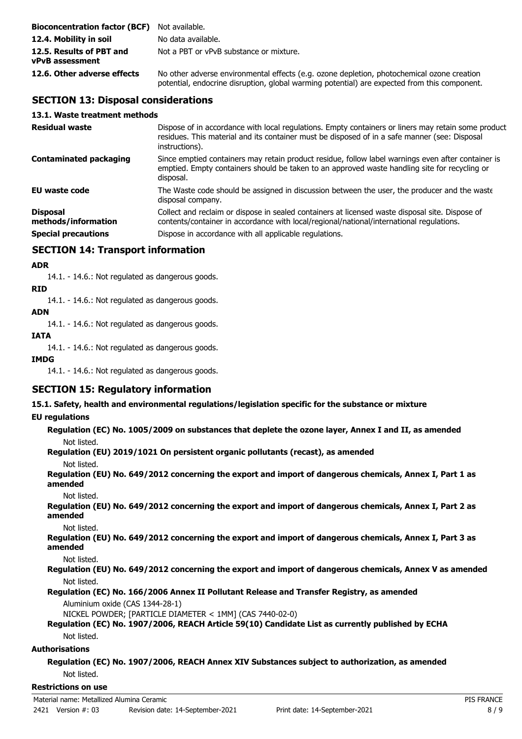| <b>Bioconcentration factor (BCF)</b> Not available. |                                                                                                                                                                                            |
|-----------------------------------------------------|--------------------------------------------------------------------------------------------------------------------------------------------------------------------------------------------|
| 12.4. Mobility in soil                              | No data available.                                                                                                                                                                         |
| 12.5. Results of PBT and<br>vPvB assessment         | Not a PBT or vPvB substance or mixture.                                                                                                                                                    |
| 12.6. Other adverse effects                         | No other adverse environmental effects (e.g. ozone depletion, photochemical ozone creation<br>potential, endocrine disruption, global warming potential) are expected from this component. |

# **SECTION 13: Disposal considerations**

### **13.1. Waste treatment methods**

| <b>Residual waste</b>                  | Dispose of in accordance with local regulations. Empty containers or liners may retain some product<br>residues. This material and its container must be disposed of in a safe manner (see: Disposal<br>instructions). |
|----------------------------------------|------------------------------------------------------------------------------------------------------------------------------------------------------------------------------------------------------------------------|
| <b>Contaminated packaging</b>          | Since emptied containers may retain product residue, follow label warnings even after container is<br>emptied. Empty containers should be taken to an approved waste handling site for recycling or<br>disposal.       |
| EU waste code                          | The Waste code should be assigned in discussion between the user, the producer and the waste<br>disposal company.                                                                                                      |
| <b>Disposal</b><br>methods/information | Collect and reclaim or dispose in sealed containers at licensed waste disposal site. Dispose of<br>contents/container in accordance with local/regional/national/international regulations.                            |
| <b>Special precautions</b>             | Dispose in accordance with all applicable regulations.                                                                                                                                                                 |

# **SECTION 14: Transport information**

### **ADR**

14.1. - 14.6.: Not regulated as dangerous goods.

**RID**

14.1. - 14.6.: Not regulated as dangerous goods.

### **ADN**

14.1. - 14.6.: Not regulated as dangerous goods.

# **IATA**

14.1. - 14.6.: Not regulated as dangerous goods.

### **IMDG**

14.1. - 14.6.: Not regulated as dangerous goods.

# **SECTION 15: Regulatory information**

**15.1. Safety, health and environmental regulations/legislation specific for the substance or mixture**

### **EU regulations**

**Regulation (EC) No. 1005/2009 on substances that deplete the ozone layer, Annex I and II, as amended** Not listed.

**Regulation (EU) 2019/1021 On persistent organic pollutants (recast), as amended**

Not listed.

**Regulation (EU) No. 649/2012 concerning the export and import of dangerous chemicals, Annex I, Part 1 as amended**

Not listed.

**Regulation (EU) No. 649/2012 concerning the export and import of dangerous chemicals, Annex I, Part 2 as amended**

Not listed.

**Regulation (EU) No. 649/2012 concerning the export and import of dangerous chemicals, Annex I, Part 3 as amended**

Not listed.

**Regulation (EU) No. 649/2012 concerning the export and import of dangerous chemicals, Annex V as amended** Not listed.

**Regulation (EC) No. 166/2006 Annex II Pollutant Release and Transfer Registry, as amended**

Aluminium oxide (CAS 1344-28-1)

NICKEL POWDER; [PARTICLE DIAMETER < 1MM] (CAS 7440-02-0)

### **Regulation (EC) No. 1907/2006, REACH Article 59(10) Candidate List as currently published by ECHA** Not listed.

# **Authorisations**

**Regulation (EC) No. 1907/2006, REACH Annex XIV Substances subject to authorization, as amended** Not listed.

### **Restrictions on use**